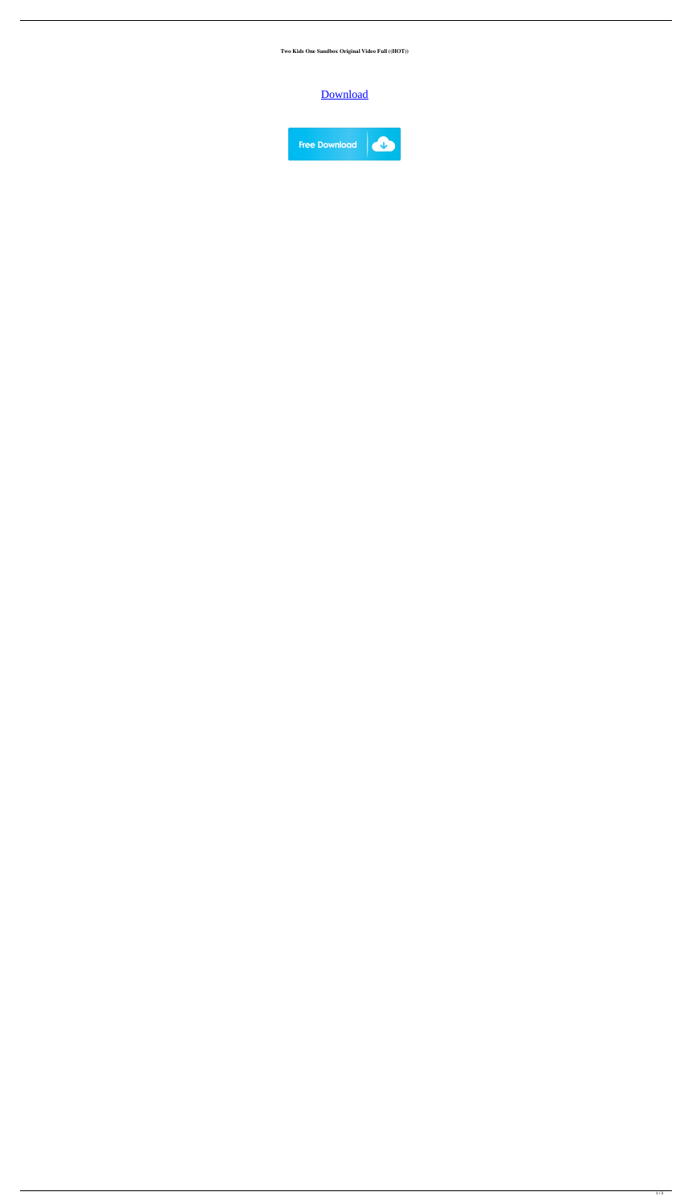**Two Kids One Sandbox Original Video Full ((HOT))**

## [Download](https://urlin.us/2l0nu2)

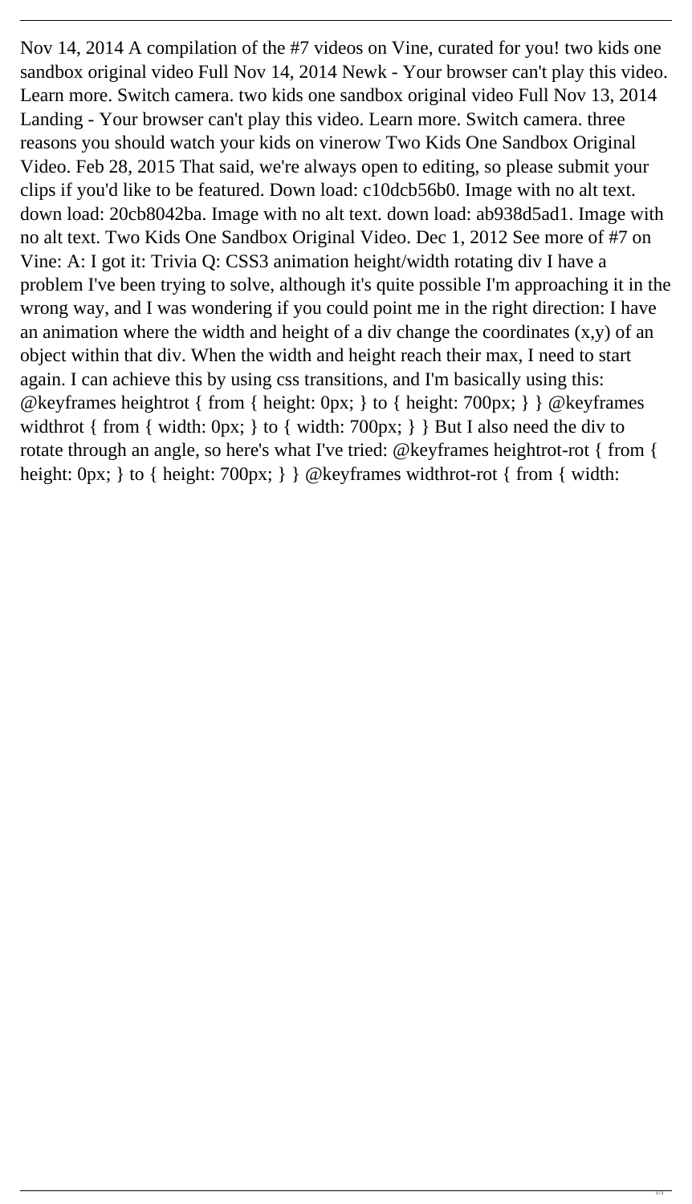Nov 14, 2014 A compilation of the #7 videos on Vine, curated for you! two kids one sandbox original video Full Nov 14, 2014 Newk - Your browser can't play this video. Learn more. Switch camera. two kids one sandbox original video Full Nov 13, 2014 Landing - Your browser can't play this video. Learn more. Switch camera. three reasons you should watch your kids on vinerow Two Kids One Sandbox Original Video. Feb 28, 2015 That said, we're always open to editing, so please submit your clips if you'd like to be featured. Down load: c10dcb56b0. Image with no alt text. down load: 20cb8042ba. Image with no alt text. down load: ab938d5ad1. Image with no alt text. Two Kids One Sandbox Original Video. Dec 1, 2012 See more of #7 on Vine: A: I got it: Trivia Q: CSS3 animation height/width rotating div I have a problem I've been trying to solve, although it's quite possible I'm approaching it in the wrong way, and I was wondering if you could point me in the right direction: I have an animation where the width and height of a div change the coordinates  $(x,y)$  of an object within that div. When the width and height reach their max, I need to start again. I can achieve this by using css transitions, and I'm basically using this: @keyframes heightrot { from { height: 0px; } to { height: 700px; } } @keyframes widthrot { from { width: 0px; } to { width: 700px; } } But I also need the div to rotate through an angle, so here's what I've tried: @keyframes heightrot-rot { from { height: 0px; } to { height: 700px; } } @keyframes widthrot-rot { from { width: